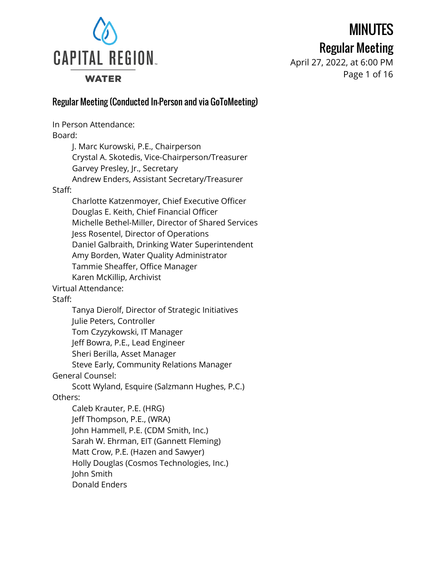**WATER** 

# MINUTES

### Regular Meeting

April 27, 2022, at 6:00 PM Page 1 of 16

#### Regular Meeting (Conducted In-Person and via GoToMeeting)

In Person Attendance: Board: J. Marc Kurowski, P.E., Chairperson Crystal A. Skotedis, Vice-Chairperson/Treasurer Garvey Presley, Jr., Secretary Andrew Enders, Assistant Secretary/Treasurer Staff: Charlotte Katzenmoyer, Chief Executive Officer Douglas E. Keith, Chief Financial Officer Michelle Bethel-Miller, Director of Shared Services Jess Rosentel, Director of Operations Daniel Galbraith, Drinking Water Superintendent Amy Borden, Water Quality Administrator Tammie Sheaffer, Office Manager Karen McKillip, Archivist Virtual Attendance: Staff: Tanya Dierolf, Director of Strategic Initiatives Julie Peters, Controller Tom Czyzykowski, IT Manager Jeff Bowra, P.E., Lead Engineer Sheri Berilla, Asset Manager Steve Early, Community Relations Manager General Counsel: Scott Wyland, Esquire (Salzmann Hughes, P.C.) Others: Caleb Krauter, P.E. (HRG) Jeff Thompson, P.E., (WRA) John Hammell, P.E. (CDM Smith, Inc.) Sarah W. Ehrman, EIT (Gannett Fleming) Matt Crow, P.E. (Hazen and Sawyer) Holly Douglas (Cosmos Technologies, Inc.) John Smith Donald Enders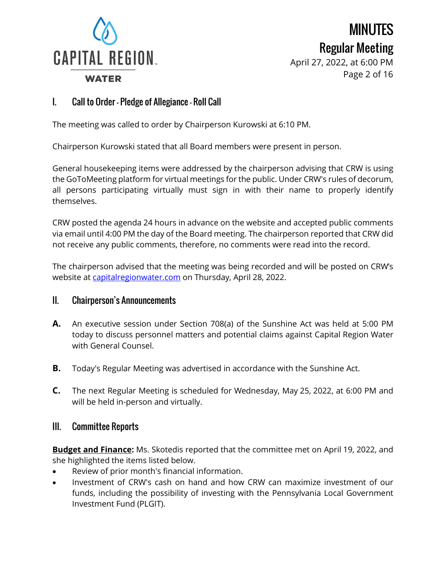

April 27, 2022, at 6:00 PM Page 2 of 16

#### I. Call to Order – Pledge of Allegiance – Roll Call

The meeting was called to order by Chairperson Kurowski at 6:10 PM.

Chairperson Kurowski stated that all Board members were present in person.

General housekeeping items were addressed by the chairperson advising that CRW is using the GoToMeeting platform for virtual meetings for the public. Under CRW's rules of decorum, all persons participating virtually must sign in with their name to properly identify themselves.

CRW posted the agenda 24 hours in advance on the website and accepted public comments via email until 4:00 PM the day of the Board meeting. The chairperson reported that CRW did not receive any public comments, therefore, no comments were read into the record.

The chairperson advised that the meeting was being recorded and will be posted on CRW's website at [capitalregionwater.com](https://capitalregionwater.com/board-meetings/) on Thursday, April 28, 2022.

#### II. Chairperson's Announcements

- **A.** An executive session under Section 708(a) of the Sunshine Act was held at 5:00 PM today to discuss personnel matters and potential claims against Capital Region Water with General Counsel.
- **B.** Today's Regular Meeting was advertised in accordance with the Sunshine Act.
- **C.** The next Regular Meeting is scheduled for Wednesday, May 25, 2022, at 6:00 PM and will be held in-person and virtually.

#### III. Committee Reports

**Budget and Finance:** Ms. Skotedis reported that the committee met on April 19, 2022, and she highlighted the items listed below.

- Review of prior month's financial information.
- Investment of CRW's cash on hand and how CRW can maximize investment of our funds, including the possibility of investing with the Pennsylvania Local Government Investment Fund (PLGIT).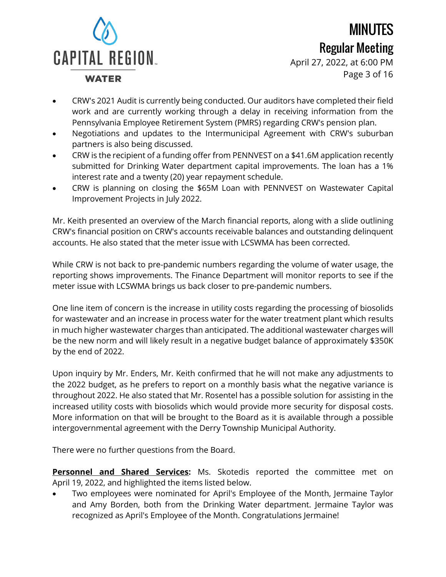# **CAPITAL REGION. WATER**

MINUTES Regular Meeting

April 27, 2022, at 6:00 PM Page 3 of 16

- CRW's 2021 Audit is currently being conducted. Our auditors have completed their field work and are currently working through a delay in receiving information from the Pennsylvania Employee Retirement System (PMRS) regarding CRW's pension plan.
- Negotiations and updates to the Intermunicipal Agreement with CRW's suburban partners is also being discussed.
- CRW is the recipient of a funding offer from PENNVEST on a \$41.6M application recently submitted for Drinking Water department capital improvements. The loan has a 1% interest rate and a twenty (20) year repayment schedule.
- CRW is planning on closing the \$65M Loan with PENNVEST on Wastewater Capital Improvement Projects in July 2022.

Mr. Keith presented an overview of the March financial reports, along with a slide outlining CRW's financial position on CRW's accounts receivable balances and outstanding delinquent accounts. He also stated that the meter issue with LCSWMA has been corrected.

While CRW is not back to pre-pandemic numbers regarding the volume of water usage, the reporting shows improvements. The Finance Department will monitor reports to see if the meter issue with LCSWMA brings us back closer to pre-pandemic numbers.

One line item of concern is the increase in utility costs regarding the processing of biosolids for wastewater and an increase in process water for the water treatment plant which results in much higher wastewater charges than anticipated. The additional wastewater charges will be the new norm and will likely result in a negative budget balance of approximately \$350K by the end of 2022.

Upon inquiry by Mr. Enders, Mr. Keith confirmed that he will not make any adjustments to the 2022 budget, as he prefers to report on a monthly basis what the negative variance is throughout 2022. He also stated that Mr. Rosentel has a possible solution for assisting in the increased utility costs with biosolids which would provide more security for disposal costs. More information on that will be brought to the Board as it is available through a possible intergovernmental agreement with the Derry Township Municipal Authority.

There were no further questions from the Board.

**Personnel and Shared Services:** Ms. Skotedis reported the committee met on April 19, 2022, and highlighted the items listed below.

• Two employees were nominated for April's Employee of the Month, Jermaine Taylor and Amy Borden, both from the Drinking Water department. Jermaine Taylor was recognized as April's Employee of the Month. Congratulations Jermaine!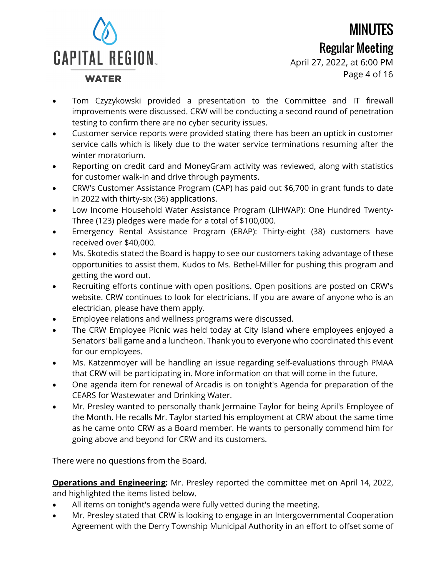**WATER** 

### MINUTES Regular Meeting

April 27, 2022, at 6:00 PM Page 4 of 16

- Tom Czyzykowski provided a presentation to the Committee and IT firewall improvements were discussed. CRW will be conducting a second round of penetration testing to confirm there are no cyber security issues.
- Customer service reports were provided stating there has been an uptick in customer service calls which is likely due to the water service terminations resuming after the winter moratorium.
- Reporting on credit card and MoneyGram activity was reviewed, along with statistics for customer walk-in and drive through payments.
- CRW's Customer Assistance Program (CAP) has paid out \$6,700 in grant funds to date in 2022 with thirty-six (36) applications.
- Low Income Household Water Assistance Program (LIHWAP): One Hundred Twenty-Three (123) pledges were made for a total of \$100,000.
- Emergency Rental Assistance Program (ERAP): Thirty-eight (38) customers have received over \$40,000.
- Ms. Skotedis stated the Board is happy to see our customers taking advantage of these opportunities to assist them. Kudos to Ms. Bethel-Miller for pushing this program and getting the word out.
- Recruiting efforts continue with open positions. Open positions are posted on CRW's website. CRW continues to look for electricians. If you are aware of anyone who is an electrician, please have them apply.
- Employee relations and wellness programs were discussed.
- The CRW Employee Picnic was held today at City Island where employees enjoyed a Senators' ball game and a luncheon. Thank you to everyone who coordinated this event for our employees.
- Ms. Katzenmoyer will be handling an issue regarding self-evaluations through PMAA that CRW will be participating in. More information on that will come in the future.
- One agenda item for renewal of Arcadis is on tonight's Agenda for preparation of the CEARS for Wastewater and Drinking Water.
- Mr. Presley wanted to personally thank Jermaine Taylor for being April's Employee of the Month. He recalls Mr. Taylor started his employment at CRW about the same time as he came onto CRW as a Board member. He wants to personally commend him for going above and beyond for CRW and its customers.

There were no questions from the Board.

**Operations and Engineering:** Mr. Presley reported the committee met on April 14, 2022, and highlighted the items listed below.

- All items on tonight's agenda were fully vetted during the meeting.
- Mr. Presley stated that CRW is looking to engage in an Intergovernmental Cooperation Agreement with the Derry Township Municipal Authority in an effort to offset some of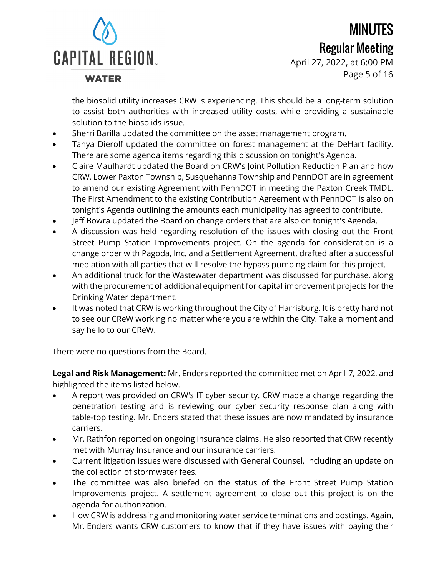**WATER** 

## MINUTES Regular Meeting

April 27, 2022, at 6:00 PM Page 5 of 16

the biosolid utility increases CRW is experiencing. This should be a long-term solution to assist both authorities with increased utility costs, while providing a sustainable solution to the biosolids issue.

- Sherri Barilla updated the committee on the asset management program.
- Tanya Dierolf updated the committee on forest management at the DeHart facility. There are some agenda items regarding this discussion on tonight's Agenda.
- Claire Maulhardt updated the Board on CRW's Joint Pollution Reduction Plan and how CRW, Lower Paxton Township, Susquehanna Township and PennDOT are in agreement to amend our existing Agreement with PennDOT in meeting the Paxton Creek TMDL. The First Amendment to the existing Contribution Agreement with PennDOT is also on tonight's Agenda outlining the amounts each municipality has agreed to contribute.
- Jeff Bowra updated the Board on change orders that are also on tonight's Agenda.
- A discussion was held regarding resolution of the issues with closing out the Front Street Pump Station Improvements project. On the agenda for consideration is a change order with Pagoda, Inc. and a Settlement Agreement, drafted after a successful mediation with all parties that will resolve the bypass pumping claim for this project.
- An additional truck for the Wastewater department was discussed for purchase, along with the procurement of additional equipment for capital improvement projects for the Drinking Water department.
- It was noted that CRW is working throughout the City of Harrisburg. It is pretty hard not to see our CReW working no matter where you are within the City. Take a moment and say hello to our CReW.

There were no questions from the Board.

**Legal and Risk Management:** Mr. Enders reported the committee met on April 7, 2022, and highlighted the items listed below.

- A report was provided on CRW's IT cyber security. CRW made a change regarding the penetration testing and is reviewing our cyber security response plan along with table-top testing. Mr. Enders stated that these issues are now mandated by insurance carriers.
- Mr. Rathfon reported on ongoing insurance claims. He also reported that CRW recently met with Murray Insurance and our insurance carriers.
- Current litigation issues were discussed with General Counsel, including an update on the collection of stormwater fees.
- The committee was also briefed on the status of the Front Street Pump Station Improvements project. A settlement agreement to close out this project is on the agenda for authorization.
- How CRW is addressing and monitoring water service terminations and postings. Again, Mr. Enders wants CRW customers to know that if they have issues with paying their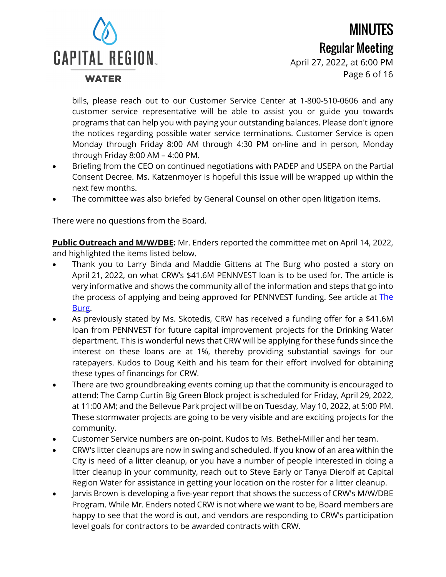**WATER** 

## MINUTES Regular Meeting

April 27, 2022, at 6:00 PM Page 6 of 16

bills, please reach out to our Customer Service Center at 1-800-510-0606 and any customer service representative will be able to assist you or guide you towards programs that can help you with paying your outstanding balances. Please don't ignore the notices regarding possible water service terminations. Customer Service is open Monday through Friday 8:00 AM through 4:30 PM on-line and in person, Monday through Friday 8:00 AM – 4:00 PM.

- Briefing from the CEO on continued negotiations with PADEP and USEPA on the Partial Consent Decree. Ms. Katzenmoyer is hopeful this issue will be wrapped up within the next few months.
- The committee was also briefed by General Counsel on other open litigation items.

There were no questions from the Board.

**Public Outreach and M/W/DBE:** Mr. Enders reported the committee met on April 14, 2022, and highlighted the items listed below.

- Thank you to Larry Binda and Maddie Gittens at The Burg who posted a story on April 21, 2022, on what CRW's \$41.6M PENNVEST loan is to be used for. The article is very informative and shows the community all of the information and steps that go into the process of applying and being approved for PENNVEST funding. See article at [The](https://theburgnews.com/news/capital-region-water-to-receive-significant-state-funding-for-infrastructure-improvements) [Burg.](https://theburgnews.com/news/capital-region-water-to-receive-significant-state-funding-for-infrastructure-improvements)
- As previously stated by Ms. Skotedis, CRW has received a funding offer for a \$41.6M loan from PENNVEST for future capital improvement projects for the Drinking Water department. This is wonderful news that CRW will be applying for these funds since the interest on these loans are at 1%, thereby providing substantial savings for our ratepayers. Kudos to Doug Keith and his team for their effort involved for obtaining these types of financings for CRW.
- There are two groundbreaking events coming up that the community is encouraged to attend: The Camp Curtin Big Green Block project is scheduled for Friday, April 29, 2022, at 11:00 AM; and the Bellevue Park project will be on Tuesday, May 10, 2022, at 5:00 PM. These stormwater projects are going to be very visible and are exciting projects for the community.
- Customer Service numbers are on-point. Kudos to Ms. Bethel-Miller and her team.
- CRW's litter cleanups are now in swing and scheduled. If you know of an area within the City is need of a litter cleanup, or you have a number of people interested in doing a litter cleanup in your community, reach out to Steve Early or Tanya Dierolf at Capital Region Water for assistance in getting your location on the roster for a litter cleanup.
- Jarvis Brown is developing a five-year report that shows the success of CRW's M/W/DBE Program. While Mr. Enders noted CRW is not where we want to be, Board members are happy to see that the word is out, and vendors are responding to CRW's participation level goals for contractors to be awarded contracts with CRW.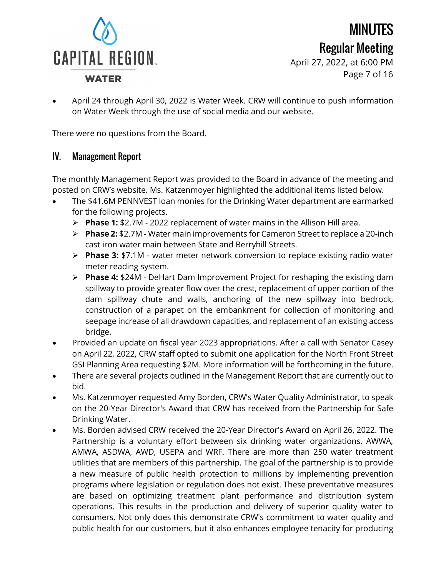

Regular Meeting April 27, 2022, at 6:00 PM Page 7 of 16

MINUTES

• April 24 through April 30, 2022 is Water Week. CRW will continue to push information on Water Week through the use of social media and our website.

There were no questions from the Board.

#### IV. Management Report

The monthly Management Report was provided to the Board in advance of the meeting and posted on CRW's website. Ms. Katzenmoyer highlighted the additional items listed below.

- The \$41.6M PENNVEST loan monies for the Drinking Water department are earmarked for the following projects.
	- **Phase 1:** \$2.7M 2022 replacement of water mains in the Allison Hill area.
	- **Phase 2:** \$2.7M Water main improvements for Cameron Street to replace a 20-inch cast iron water main between State and Berryhill Streets.
	- **Phase 3:** \$7.1M water meter network conversion to replace existing radio water meter reading system.
	- **Phase 4:** \$24M DeHart Dam Improvement Project for reshaping the existing dam spillway to provide greater flow over the crest, replacement of upper portion of the dam spillway chute and walls, anchoring of the new spillway into bedrock, construction of a parapet on the embankment for collection of monitoring and seepage increase of all drawdown capacities, and replacement of an existing access bridge.
- Provided an update on fiscal year 2023 appropriations. After a call with Senator Casey on April 22, 2022, CRW staff opted to submit one application for the North Front Street GSI Planning Area requesting \$2M. More information will be forthcoming in the future.
- There are several projects outlined in the Management Report that are currently out to bid.
- Ms. Katzenmoyer requested Amy Borden, CRW's Water Quality Administrator, to speak on the 20-Year Director's Award that CRW has received from the Partnership for Safe Drinking Water.
- Ms. Borden advised CRW received the 20-Year Director's Award on April 26, 2022. The Partnership is a voluntary effort between six drinking water organizations, AWWA, AMWA, ASDWA, AWD, USEPA and WRF. There are more than 250 water treatment utilities that are members of this partnership. The goal of the partnership is to provide a new measure of public health protection to millions by implementing prevention programs where legislation or regulation does not exist. These preventative measures are based on optimizing treatment plant performance and distribution system operations. This results in the production and delivery of superior quality water to consumers. Not only does this demonstrate CRW's commitment to water quality and public health for our customers, but it also enhances employee tenacity for producing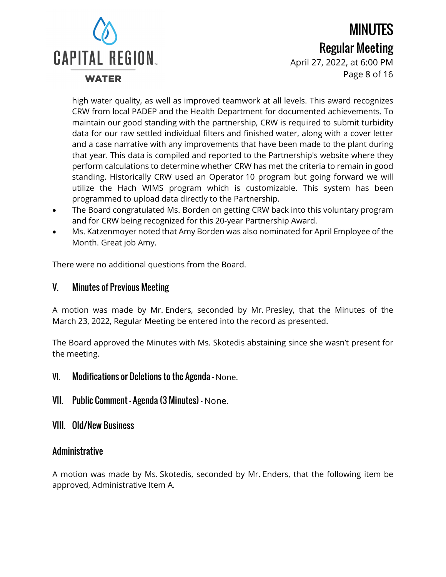**WATER** 

## MINUTES Regular Meeting

April 27, 2022, at 6:00 PM Page 8 of 16

high water quality, as well as improved teamwork at all levels. This award recognizes CRW from local PADEP and the Health Department for documented achievements. To maintain our good standing with the partnership, CRW is required to submit turbidity data for our raw settled individual filters and finished water, along with a cover letter and a case narrative with any improvements that have been made to the plant during that year. This data is compiled and reported to the Partnership's website where they perform calculations to determine whether CRW has met the criteria to remain in good standing. Historically CRW used an Operator 10 program but going forward we will utilize the Hach WIMS program which is customizable. This system has been programmed to upload data directly to the Partnership.

- The Board congratulated Ms. Borden on getting CRW back into this voluntary program and for CRW being recognized for this 20-year Partnership Award.
- Ms. Katzenmoyer noted that Amy Borden was also nominated for April Employee of the Month. Great job Amy.

There were no additional questions from the Board.

#### V. Minutes of Previous Meeting

A motion was made by Mr. Enders, seconded by Mr. Presley, that the Minutes of the March 23, 2022, Regular Meeting be entered into the record as presented.

The Board approved the Minutes with Ms. Skotedis abstaining since she wasn't present for the meeting.

- VI. Modifications or Deletions to the Agenda None.
- VII. Public Comment Agenda (3 Minutes) None.
- VIII. Old/New Business

#### Administrative

A motion was made by Ms. Skotedis, seconded by Mr. Enders, that the following item be approved, Administrative Item A.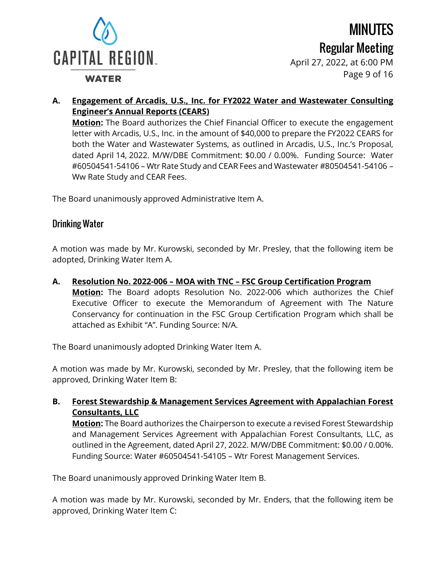

**WATER** 

MINUTES Regular Meeting

April 27, 2022, at 6:00 PM Page 9 of 16

#### **A. Engagement of Arcadis, U.S., Inc. for FY2022 Water and Wastewater Consulting Engineer's Annual Reports (CEARS)**

**Motion:** The Board authorizes the Chief Financial Officer to execute the engagement letter with Arcadis, U.S., Inc. in the amount of \$40,000 to prepare the FY2022 CEARS for both the Water and Wastewater Systems, as outlined in Arcadis, U.S., Inc.'s Proposal, dated April 14, 2022. M/W/DBE Commitment: \$0.00 / 0.00%. Funding Source: Water #60504541-54106 – Wtr Rate Study and CEAR Fees and Wastewater #80504541-54106 – Ww Rate Study and CEAR Fees.

The Board unanimously approved Administrative Item A.

#### Drinking Water

A motion was made by Mr. Kurowski, seconded by Mr. Presley, that the following item be adopted, Drinking Water Item A.

**A. Resolution No. 2022-006 – MOA with TNC – FSC Group Certification Program Motion:** The Board adopts Resolution No. 2022-006 which authorizes the Chief Executive Officer to execute the Memorandum of Agreement with The Nature Conservancy for continuation in the FSC Group Certification Program which shall be attached as Exhibit "A". Funding Source: N/A.

The Board unanimously adopted Drinking Water Item A.

A motion was made by Mr. Kurowski, seconded by Mr. Presley, that the following item be approved, Drinking Water Item B:

#### **B. Forest Stewardship & Management Services Agreement with Appalachian Forest Consultants, LLC**

**Motion:** The Board authorizes the Chairperson to execute a revised Forest Stewardship and Management Services Agreement with Appalachian Forest Consultants, LLC, as outlined in the Agreement, dated April 27, 2022. M/W/DBE Commitment: \$0.00 / 0.00%. Funding Source: Water #60504541-54105 – Wtr Forest Management Services.

The Board unanimously approved Drinking Water Item B.

A motion was made by Mr. Kurowski, seconded by Mr. Enders, that the following item be approved, Drinking Water Item C: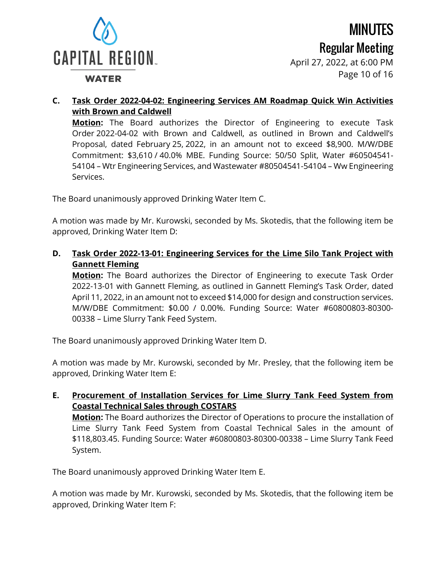

**WATER** 

April 27, 2022, at 6:00 PM Page 10 of 16

#### **C. Task Order 2022-04-02: Engineering Services AM Roadmap Quick Win Activities with Brown and Caldwell**

**Motion:** The Board authorizes the Director of Engineering to execute Task Order 2022-04-02 with Brown and Caldwell, as outlined in Brown and Caldwell's Proposal, dated February 25, 2022, in an amount not to exceed \$8,900. M/W/DBE Commitment: \$3,610 / 40.0% MBE. Funding Source: 50/50 Split, Water #60504541- 54104 – Wtr Engineering Services, and Wastewater #80504541-54104 – Ww Engineering Services.

The Board unanimously approved Drinking Water Item C.

A motion was made by Mr. Kurowski, seconded by Ms. Skotedis, that the following item be approved, Drinking Water Item D:

**D. Task Order 2022-13-01: Engineering Services for the Lime Silo Tank Project with Gannett Fleming**

**Motion:** The Board authorizes the Director of Engineering to execute Task Order 2022-13-01 with Gannett Fleming, as outlined in Gannett Fleming's Task Order, dated April 11, 2022, in an amount not to exceed \$14,000 for design and construction services. M/W/DBE Commitment: \$0.00 / 0.00%. Funding Source: Water #60800803-80300- 00338 – Lime Slurry Tank Feed System.

The Board unanimously approved Drinking Water Item D.

A motion was made by Mr. Kurowski, seconded by Mr. Presley, that the following item be approved, Drinking Water Item E:

**E. Procurement of Installation Services for Lime Slurry Tank Feed System from Coastal Technical Sales through COSTARS Motion:** The Board authorizes the Director of Operations to procure the installation of

Lime Slurry Tank Feed System from Coastal Technical Sales in the amount of \$118,803.45. Funding Source: Water #60800803-80300-00338 – Lime Slurry Tank Feed System.

The Board unanimously approved Drinking Water Item E.

A motion was made by Mr. Kurowski, seconded by Ms. Skotedis, that the following item be approved, Drinking Water Item F: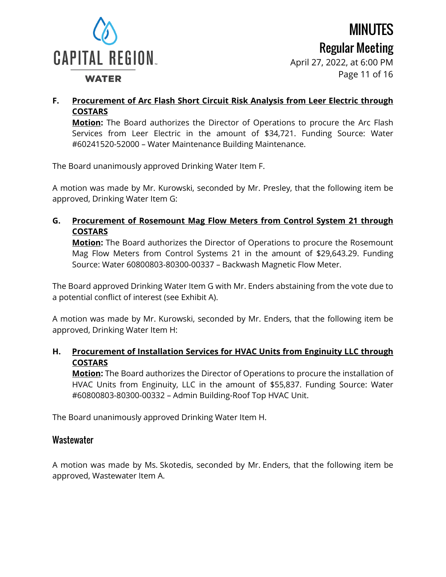

#### **WATER**

April 27, 2022, at 6:00 PM Page 11 of 16

#### **F. Procurement of Arc Flash Short Circuit Risk Analysis from Leer Electric through COSTARS**

**Motion:** The Board authorizes the Director of Operations to procure the Arc Flash Services from Leer Electric in the amount of \$34,721. Funding Source: Water #60241520-52000 – Water Maintenance Building Maintenance.

The Board unanimously approved Drinking Water Item F.

A motion was made by Mr. Kurowski, seconded by Mr. Presley, that the following item be approved, Drinking Water Item G:

#### **G. Procurement of Rosemount Mag Flow Meters from Control System 21 through COSTARS**

**Motion:** The Board authorizes the Director of Operations to procure the Rosemount Mag Flow Meters from Control Systems 21 in the amount of \$29,643.29. Funding Source: Water 60800803-80300-00337 – Backwash Magnetic Flow Meter.

The Board approved Drinking Water Item G with Mr. Enders abstaining from the vote due to a potential conflict of interest (see Exhibit A).

A motion was made by Mr. Kurowski, seconded by Mr. Enders, that the following item be approved, Drinking Water Item H:

#### **H. Procurement of Installation Services for HVAC Units from Enginuity LLC through COSTARS**

**Motion:** The Board authorizes the Director of Operations to procure the installation of HVAC Units from Enginuity, LLC in the amount of \$55,837. Funding Source: Water #60800803-80300-00332 – Admin Building-Roof Top HVAC Unit.

The Board unanimously approved Drinking Water Item H.

#### **Wastewater**

A motion was made by Ms. Skotedis, seconded by Mr. Enders, that the following item be approved, Wastewater Item A.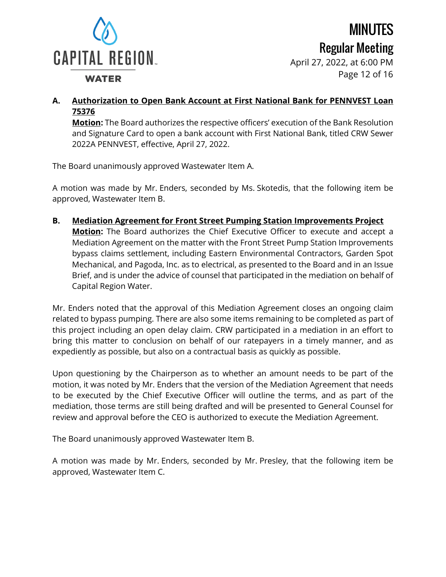

Regular Meeting April 27, 2022, at 6:00 PM Page 12 of 16

MINUTES

#### **WATER**

**A. Authorization to Open Bank Account at First National Bank for PENNVEST Loan 75376**

**Motion:** The Board authorizes the respective officers' execution of the Bank Resolution and Signature Card to open a bank account with First National Bank, titled CRW Sewer 2022A PENNVEST, effective, April 27, 2022.

The Board unanimously approved Wastewater Item A.

A motion was made by Mr. Enders, seconded by Ms. Skotedis, that the following item be approved, Wastewater Item B.

**B. Mediation Agreement for Front Street Pumping Station Improvements Project Motion:** The Board authorizes the Chief Executive Officer to execute and accept a Mediation Agreement on the matter with the Front Street Pump Station Improvements bypass claims settlement, including Eastern Environmental Contractors, Garden Spot Mechanical, and Pagoda, Inc. as to electrical, as presented to the Board and in an Issue Brief, and is under the advice of counsel that participated in the mediation on behalf of Capital Region Water.

Mr. Enders noted that the approval of this Mediation Agreement closes an ongoing claim related to bypass pumping. There are also some items remaining to be completed as part of this project including an open delay claim. CRW participated in a mediation in an effort to bring this matter to conclusion on behalf of our ratepayers in a timely manner, and as expediently as possible, but also on a contractual basis as quickly as possible.

Upon questioning by the Chairperson as to whether an amount needs to be part of the motion, it was noted by Mr. Enders that the version of the Mediation Agreement that needs to be executed by the Chief Executive Officer will outline the terms, and as part of the mediation, those terms are still being drafted and will be presented to General Counsel for review and approval before the CEO is authorized to execute the Mediation Agreement.

The Board unanimously approved Wastewater Item B.

A motion was made by Mr. Enders, seconded by Mr. Presley, that the following item be approved, Wastewater Item C.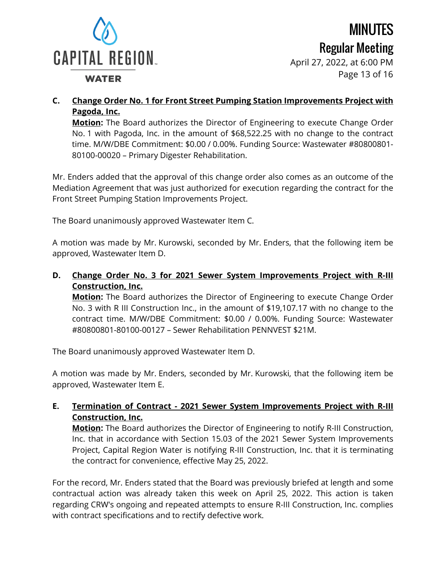

**WATER** 

MINUTES Regular Meeting

April 27, 2022, at 6:00 PM Page 13 of 16

#### **C. Change Order No. 1 for Front Street Pumping Station Improvements Project with Pagoda, Inc.**

**Motion:** The Board authorizes the Director of Engineering to execute Change Order No. 1 with Pagoda, Inc. in the amount of \$68,522.25 with no change to the contract time. M/W/DBE Commitment: \$0.00 / 0.00%. Funding Source: Wastewater #80800801- 80100-00020 – Primary Digester Rehabilitation.

Mr. Enders added that the approval of this change order also comes as an outcome of the Mediation Agreement that was just authorized for execution regarding the contract for the Front Street Pumping Station Improvements Project.

The Board unanimously approved Wastewater Item C.

A motion was made by Mr. Kurowski, seconded by Mr. Enders, that the following item be approved, Wastewater Item D.

**D. Change Order No. 3 for 2021 Sewer System Improvements Project with R-III Construction, Inc.**

**Motion:** The Board authorizes the Director of Engineering to execute Change Order No. 3 with R III Construction Inc., in the amount of \$19,107.17 with no change to the contract time. M/W/DBE Commitment: \$0.00 / 0.00%. Funding Source: Wastewater #80800801-80100-00127 – Sewer Rehabilitation PENNVEST \$21M.

The Board unanimously approved Wastewater Item D.

A motion was made by Mr. Enders, seconded by Mr. Kurowski, that the following item be approved, Wastewater Item E.

#### **E. Termination of Contract - 2021 Sewer System Improvements Project with R-III Construction, Inc.**

**Motion:** The Board authorizes the Director of Engineering to notify R-III Construction, Inc. that in accordance with Section 15.03 of the 2021 Sewer System Improvements Project, Capital Region Water is notifying R-III Construction, Inc. that it is terminating the contract for convenience, effective May 25, 2022.

For the record, Mr. Enders stated that the Board was previously briefed at length and some contractual action was already taken this week on April 25, 2022. This action is taken regarding CRW's ongoing and repeated attempts to ensure R-III Construction, Inc. complies with contract specifications and to rectify defective work.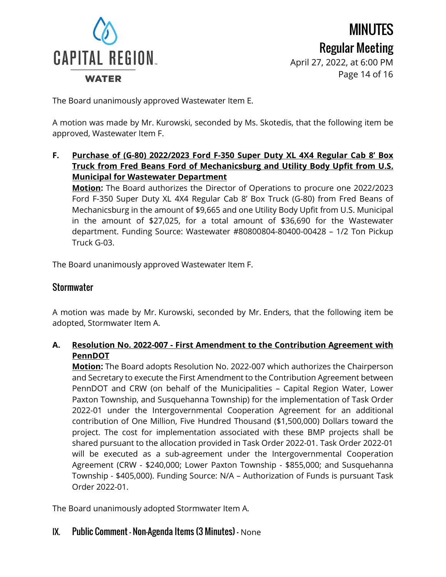

MINUTES Regular Meeting April 27, 2022, at 6:00 PM Page 14 of 16

#### The Board unanimously approved Wastewater Item E.

A motion was made by Mr. Kurowski, seconded by Ms. Skotedis, that the following item be approved, Wastewater Item F.

**F. Purchase of (G-80) 2022/2023 Ford F-350 Super Duty XL 4X4 Regular Cab 8' Box Truck from Fred Beans Ford of Mechanicsburg and Utility Body Upfit from U.S. Municipal for Wastewater Department**

**Motion:** The Board authorizes the Director of Operations to procure one 2022/2023 Ford F-350 Super Duty XL 4X4 Regular Cab 8' Box Truck (G-80) from Fred Beans of Mechanicsburg in the amount of \$9,665 and one Utility Body Upfit from U.S. Municipal in the amount of \$27,025, for a total amount of \$36,690 for the Wastewater department. Funding Source: Wastewater #80800804-80400-00428 – 1/2 Ton Pickup Truck G-03.

The Board unanimously approved Wastewater Item F.

#### **Stormwater**

A motion was made by Mr. Kurowski, seconded by Mr. Enders, that the following item be adopted, Stormwater Item A.

#### **A. Resolution No. 2022-007 - First Amendment to the Contribution Agreement with PennDOT**

**Motion:** The Board adopts Resolution No. 2022-007 which authorizes the Chairperson and Secretary to execute the First Amendment to the Contribution Agreement between PennDOT and CRW (on behalf of the Municipalities – Capital Region Water, Lower Paxton Township, and Susquehanna Township) for the implementation of Task Order 2022-01 under the Intergovernmental Cooperation Agreement for an additional contribution of One Million, Five Hundred Thousand (\$1,500,000) Dollars toward the project. The cost for implementation associated with these BMP projects shall be shared pursuant to the allocation provided in Task Order 2022-01. Task Order 2022-01 will be executed as a sub-agreement under the Intergovernmental Cooperation Agreement (CRW - \$240,000; Lower Paxton Township - \$855,000; and Susquehanna Township - \$405,000). Funding Source: N/A – Authorization of Funds is pursuant Task Order 2022-01.

The Board unanimously adopted Stormwater Item A.

#### IX. Public Comment – Non-Agenda Items (3 Minutes) - None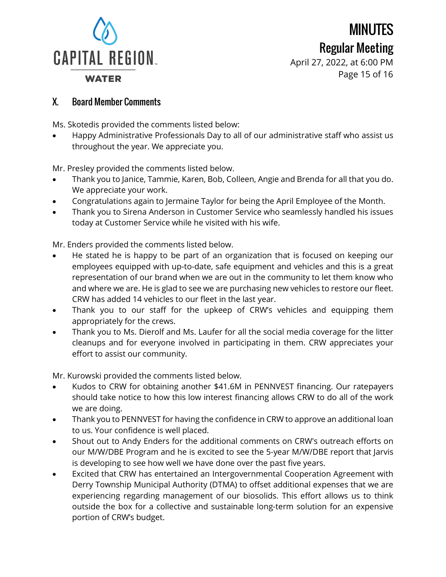

April 27, 2022, at 6:00 PM Page 15 of 16

#### X. Board Member Comments

Ms. Skotedis provided the comments listed below:

• Happy Administrative Professionals Day to all of our administrative staff who assist us throughout the year. We appreciate you.

Mr. Presley provided the comments listed below.

- Thank you to Janice, Tammie, Karen, Bob, Colleen, Angie and Brenda for all that you do. We appreciate your work.
- Congratulations again to Jermaine Taylor for being the April Employee of the Month.
- Thank you to Sirena Anderson in Customer Service who seamlessly handled his issues today at Customer Service while he visited with his wife.

Mr. Enders provided the comments listed below.

- He stated he is happy to be part of an organization that is focused on keeping our employees equipped with up-to-date, safe equipment and vehicles and this is a great representation of our brand when we are out in the community to let them know who and where we are. He is glad to see we are purchasing new vehicles to restore our fleet. CRW has added 14 vehicles to our fleet in the last year.
- Thank you to our staff for the upkeep of CRW's vehicles and equipping them appropriately for the crews.
- Thank you to Ms. Dierolf and Ms. Laufer for all the social media coverage for the litter cleanups and for everyone involved in participating in them. CRW appreciates your effort to assist our community.

Mr. Kurowski provided the comments listed below.

- Kudos to CRW for obtaining another \$41.6M in PENNVEST financing. Our ratepayers should take notice to how this low interest financing allows CRW to do all of the work we are doing.
- Thank you to PENNVEST for having the confidence in CRW to approve an additional loan to us. Your confidence is well placed.
- Shout out to Andy Enders for the additional comments on CRW's outreach efforts on our M/W/DBE Program and he is excited to see the 5-year M/W/DBE report that Jarvis is developing to see how well we have done over the past five years.
- Excited that CRW has entertained an Intergovernmental Cooperation Agreement with Derry Township Municipal Authority (DTMA) to offset additional expenses that we are experiencing regarding management of our biosolids. This effort allows us to think outside the box for a collective and sustainable long-term solution for an expensive portion of CRW's budget.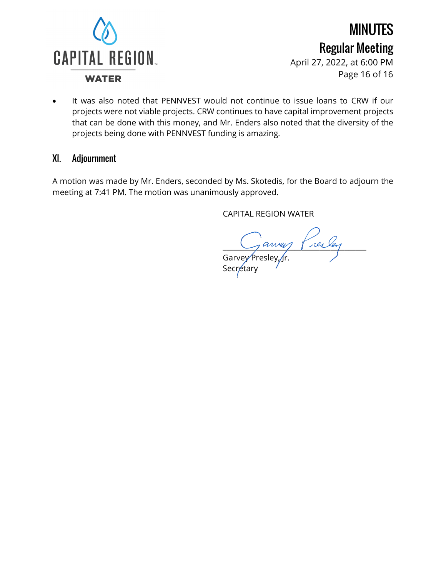

April 27, 2022, at 6:00 PM Page 16 of 16

• It was also noted that PENNVEST would not continue to issue loans to CRW if our projects were not viable projects. CRW continues to have capital improvement projects that can be done with this money, and Mr. Enders also noted that the diversity of the projects being done with PENNVEST funding is amazing.

#### XI. Adjournment

A motion was made by Mr. Enders, seconded by Ms. Skotedis, for the Board to adjourn the meeting at 7:41 PM. The motion was unanimously approved.

CAPITAL REGION WATER

 $\sim$  aney server Garvey Presley, fr.

Secretary